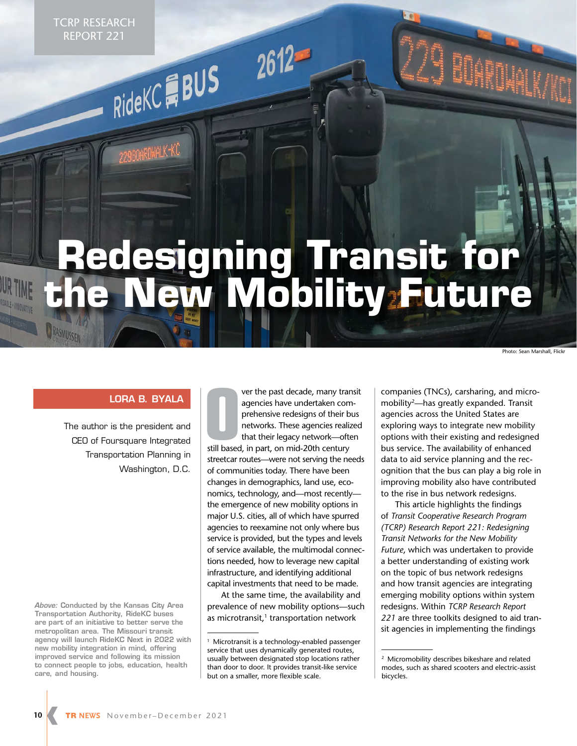TCRP RESEARCH REPORT 221

RideKCHBUS

# **Redesigning Transit for the New Mobility Future**

Photo: Sean Marshall, Flickr

#### **LORA B. BYALA**

The author is the president and CEO of Foursquare Integrated Transportation Planning in Washington, D.C.

*Above:* **Conducted by the Kansas City Area Transportation Authority, RideKC buses are part of an initiative to better serve the metropolitan area. The Missouri transit agency will launch RideKC Next in 2022 with new mobility integration in mind, offering improved service and following its mission to connect people to jobs, education, health care, and housing.** 

**Starting Section 1 Section 1 Section**<br>
1 September 1 September 1 September 1 September 1 September 1 September 1 September 1 September 1 September 1 September 1 September 1 September 1 September 1 September 1 September 1 ver the past decade, many transit agencies have undertaken comprehensive redesigns of their bus networks. These agencies realized that their legacy network—often streetcar routes—were not serving the needs of communities today. There have been changes in demographics, land use, economics, technology, and—most recently the emergence of new mobility options in major U.S. cities, all of which have spurred agencies to reexamine not only where bus service is provided, but the types and levels of service available, the multimodal connections needed, how to leverage new capital infrastructure, and identifying additional capital investments that need to be made.

At the same time, the availability and prevalence of new mobility options—such as microtransit, $1$  transportation network

companies (TNCs), carsharing, and micromobility2—has greatly expanded. Transit agencies across the United States are exploring ways to integrate new mobility options with their existing and redesigned bus service. The availability of enhanced data to aid service planning and the recognition that the bus can play a big role in improving mobility also have contributed to the rise in bus network redesigns.

This article highlights the findings of *Transit Cooperative Research Program (TCRP) Research Report 221: Redesigning Transit Networks for the New Mobility Future*, which was undertaken to provide a better understanding of existing work on the topic of bus network redesigns and how transit agencies are integrating emerging mobility options within system redesigns. Within *TCRP Research Report 221* are three toolkits designed to aid transit agencies in implementing the findings

<sup>&</sup>lt;sup>1</sup> Microtransit is a technology-enabled passenger service that uses dynamically generated routes, usually between designated stop locations rather than door to door. It provides transit-like service but on a smaller, more flexible scale.

<sup>2</sup> Micromobility describes bikeshare and related modes, such as shared scooters and electric-assist bicycles.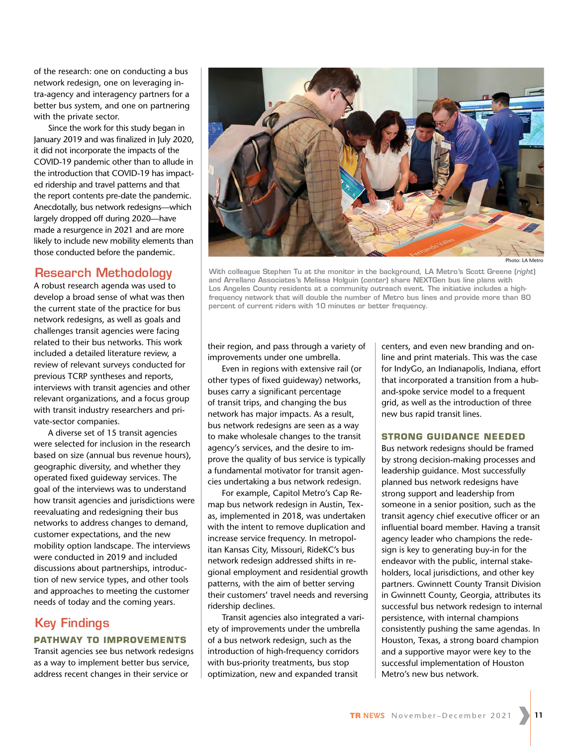of the research: one on conducting a bus network redesign, one on leveraging intra-agency and interagency partners for a better bus system, and one on partnering with the private sector.

Since the work for this study began in January 2019 and was finalized in July 2020, it did not incorporate the impacts of the COVID-19 pandemic other than to allude in the introduction that COVID-19 has impacted ridership and travel patterns and that the report contents pre-date the pandemic. Anecdotally, bus network redesigns—which largely dropped off during 2020—have made a resurgence in 2021 and are more likely to include new mobility elements than those conducted before the pandemic.

## **Research Methodology**

A robust research agenda was used to develop a broad sense of what was then the current state of the practice for bus network redesigns, as well as goals and challenges transit agencies were facing related to their bus networks. This work included a detailed literature review, a review of relevant surveys conducted for previous TCRP syntheses and reports, interviews with transit agencies and other relevant organizations, and a focus group with transit industry researchers and private-sector companies.

A diverse set of 15 transit agencies were selected for inclusion in the research based on size (annual bus revenue hours), geographic diversity, and whether they operated fixed guideway services. The goal of the interviews was to understand how transit agencies and jurisdictions were reevaluating and redesigning their bus networks to address changes to demand, customer expectations, and the new mobility option landscape. The interviews were conducted in 2019 and included discussions about partnerships, introduction of new service types, and other tools and approaches to meeting the customer needs of today and the coming years.

# **Key Findings**

#### **PATHWAY TO IMPROVEMENTS**

Transit agencies see bus network redesigns as a way to implement better bus service, address recent changes in their service or



Photo: LA Metro

**With colleague Stephen Tu at the monitor in the background, LA Metro's Scott Greene (***right***) and Arrellano Associates's Melissa Holguin (***center***) share NEXTGen bus line plans with Los Angeles County residents at a community outreach event. The initiative includes a highfrequency network that will double the number of Metro bus lines and provide more than 80 percent of current riders with 10 minutes or better frequency.**

their region, and pass through a variety of improvements under one umbrella.

Even in regions with extensive rail (or other types of fixed guideway) networks, buses carry a significant percentage of transit trips, and changing the bus network has major impacts. As a result, bus network redesigns are seen as a way to make wholesale changes to the transit agency's services, and the desire to improve the quality of bus service is typically a fundamental motivator for transit agencies undertaking a bus network redesign.

For example, Capitol Metro's Cap Remap bus network redesign in Austin, Texas, implemented in 2018, was undertaken with the intent to remove duplication and increase service frequency. In metropolitan Kansas City, Missouri, RideKC's bus network redesign addressed shifts in regional employment and residential growth patterns, with the aim of better serving their customers' travel needs and reversing ridership declines.

Transit agencies also integrated a variety of improvements under the umbrella of a bus network redesign, such as the introduction of high-frequency corridors with bus-priority treatments, bus stop optimization, new and expanded transit

centers, and even new branding and online and print materials. This was the case for IndyGo, an Indianapolis, Indiana, effort that incorporated a transition from a huband-spoke service model to a frequent grid, as well as the introduction of three new bus rapid transit lines.

#### **STRONG GUIDANCE NEEDED**

Bus network redesigns should be framed by strong decision-making processes and leadership guidance. Most successfully planned bus network redesigns have strong support and leadership from someone in a senior position, such as the transit agency chief executive officer or an influential board member. Having a transit agency leader who champions the redesign is key to generating buy-in for the endeavor with the public, internal stakeholders, local jurisdictions, and other key partners. Gwinnett County Transit Division in Gwinnett County, Georgia, attributes its successful bus network redesign to internal persistence, with internal champions consistently pushing the same agendas. In Houston, Texas, a strong board champion and a supportive mayor were key to the successful implementation of Houston Metro's new bus network.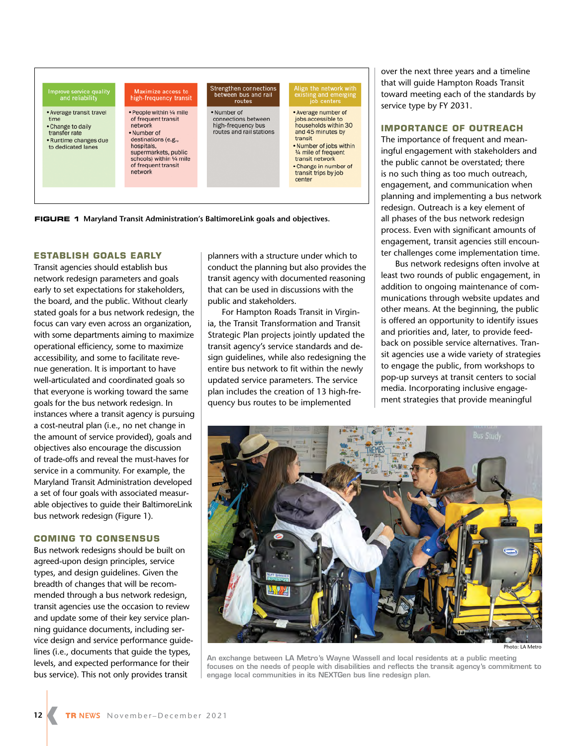

**FIGURE 1 Maryland Transit Administration's BaltimoreLink goals and objectives.**

#### **ESTABLISH GOALS EARLY**

Transit agencies should establish bus network redesign parameters and goals early to set expectations for stakeholders, the board, and the public. Without clearly stated goals for a bus network redesign, the focus can vary even across an organization, with some departments aiming to maximize operational efficiency, some to maximize accessibility, and some to facilitate revenue generation. It is important to have well-articulated and coordinated goals so that everyone is working toward the same goals for the bus network redesign. In instances where a transit agency is pursuing a cost-neutral plan (i.e., no net change in the amount of service provided), goals and objectives also encourage the discussion of trade-offs and reveal the must-haves for service in a community. For example, the Maryland Transit Administration developed a set of four goals with associated measurable objectives to guide their BaltimoreLink bus network redesign (Figure 1).

#### **COMING TO CONSENSUS**

Bus network redesigns should be built on agreed-upon design principles, service types, and design guidelines. Given the breadth of changes that will be recommended through a bus network redesign, transit agencies use the occasion to review and update some of their key service planning guidance documents, including service design and service performance guidelines (i.e., documents that guide the types, levels, and expected performance for their bus service). This not only provides transit

planners with a structure under which to conduct the planning but also provides the transit agency with documented reasoning that can be used in discussions with the public and stakeholders.

For Hampton Roads Transit in Virginia, the Transit Transformation and Transit Strategic Plan projects jointly updated the transit agency's service standards and design guidelines, while also redesigning the entire bus network to fit within the newly updated service parameters. The service plan includes the creation of 13 high-frequency bus routes to be implemented

over the next three years and a timeline that will guide Hampton Roads Transit toward meeting each of the standards by service type by FY 2031.

#### **IMPORTANCE OF OUTREACH**

The importance of frequent and meaningful engagement with stakeholders and the public cannot be overstated; there is no such thing as too much outreach, engagement, and communication when planning and implementing a bus network redesign. Outreach is a key element of all phases of the bus network redesign process. Even with significant amounts of engagement, transit agencies still encounter challenges come implementation time.

Bus network redesigns often involve at least two rounds of public engagement, in addition to ongoing maintenance of communications through website updates and other means. At the beginning, the public is offered an opportunity to identify issues and priorities and, later, to provide feedback on possible service alternatives. Transit agencies use a wide variety of strategies to engage the public, from workshops to pop-up surveys at transit centers to social media. Incorporating inclusive engagement strategies that provide meaningful



**An exchange between LA Metro's Wayne Wassell and local residents at a public meeting focuses on the needs of people with disabilities and reflects the transit agency's commitment to engage local communities in its NEXTGen bus line redesign plan.**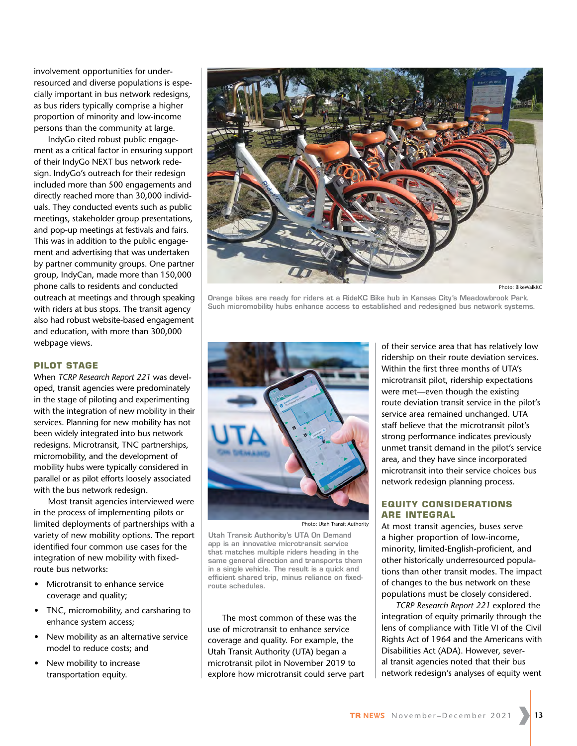involvement opportunities for underresourced and diverse populations is especially important in bus network redesigns, as bus riders typically comprise a higher proportion of minority and low-income persons than the community at large.

IndyGo cited robust public engagement as a critical factor in ensuring support of their IndyGo NEXT bus network redesign. IndyGo's outreach for their redesign included more than 500 engagements and directly reached more than 30,000 individuals. They conducted events such as public meetings, stakeholder group presentations, and pop-up meetings at festivals and fairs. This was in addition to the public engagement and advertising that was undertaken by partner community groups. One partner group, IndyCan, made more than 150,000 phone calls to residents and conducted outreach at meetings and through speaking with riders at bus stops. The transit agency also had robust website-based engagement and education, with more than 300,000 webpage views.

#### **PILOT STAGE**

When *TCRP Research Report 221* was developed, transit agencies were predominately in the stage of piloting and experimenting with the integration of new mobility in their services. Planning for new mobility has not been widely integrated into bus network redesigns. Microtransit, TNC partnerships, micromobility, and the development of mobility hubs were typically considered in parallel or as pilot efforts loosely associated with the bus network redesign.

Most transit agencies interviewed were in the process of implementing pilots or limited deployments of partnerships with a variety of new mobility options. The report identified four common use cases for the integration of new mobility with fixedroute bus networks:

- Microtransit to enhance service coverage and quality;
- TNC, micromobility, and carsharing to enhance system access;
- New mobility as an alternative service model to reduce costs; and
- New mobility to increase transportation equity.



Photo: BikeWalkKC

**Orange bikes are ready for riders at a RideKC Bike hub in Kansas City's Meadowbrook Park. Such micromobility hubs enhance access to established and redesigned bus network systems.**



Photo: Utah Transit Authority

**Utah Transit Authority's UTA On Demand app is an innovative microtransit service that matches multiple riders heading in the same general direction and transports them in a single vehicle. The result is a quick and efficient shared trip, minus reliance on fixedroute schedules.** 

The most common of these was the use of microtransit to enhance service coverage and quality. For example, the Utah Transit Authority (UTA) began a microtransit pilot in November 2019 to explore how microtransit could serve part

of their service area that has relatively low ridership on their route deviation services. Within the first three months of UTA's microtransit pilot, ridership expectations were met—even though the existing route deviation transit service in the pilot's service area remained unchanged. UTA staff believe that the microtransit pilot's strong performance indicates previously unmet transit demand in the pilot's service area, and they have since incorporated microtransit into their service choices bus network redesign planning process.

#### **EQUITY CONSIDERATIONS ARE INTEGRAL**

At most transit agencies, buses serve a higher proportion of low-income, minority, limited-English-proficient, and other historically underresourced populations than other transit modes. The impact of changes to the bus network on these populations must be closely considered.

*TCRP Research Report 221* explored the integration of equity primarily through the lens of compliance with Title VI of the Civil Rights Act of 1964 and the Americans with Disabilities Act (ADA). However, several transit agencies noted that their bus network redesign's analyses of equity went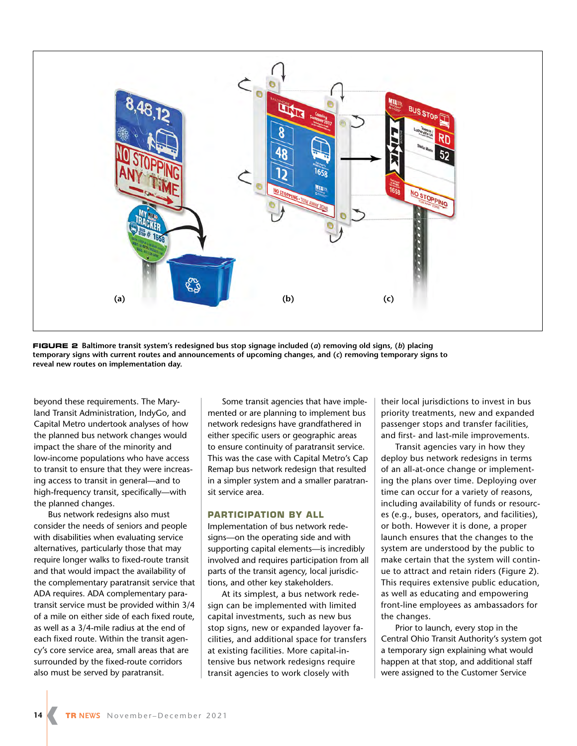

**FIGURE 2 Baltimore transit system's redesigned bus stop signage included (***a***) removing old signs, (***b***) placing temporary signs with current routes and announcements of upcoming changes, and (***c***) removing temporary signs to reveal new routes on implementation day.**

beyond these requirements. The Maryland Transit Administration, IndyGo, and Capital Metro undertook analyses of how the planned bus network changes would impact the share of the minority and low-income populations who have access to transit to ensure that they were increasing access to transit in general—and to high-frequency transit, specifically—with the planned changes.

Bus network redesigns also must consider the needs of seniors and people with disabilities when evaluating service alternatives, particularly those that may require longer walks to fixed-route transit and that would impact the availability of the complementary paratransit service that ADA requires. ADA complementary paratransit service must be provided within 3/4 of a mile on either side of each fixed route, as well as a 3/4-mile radius at the end of each fixed route. Within the transit agency's core service area, small areas that are surrounded by the fixed-route corridors also must be served by paratransit.

Some transit agencies that have implemented or are planning to implement bus network redesigns have grandfathered in either specific users or geographic areas to ensure continuity of paratransit service. This was the case with Capital Metro's Cap Remap bus network redesign that resulted in a simpler system and a smaller paratransit service area.

#### **PARTICIPATION BY ALL**

Implementation of bus network redesigns—on the operating side and with supporting capital elements—is incredibly involved and requires participation from all parts of the transit agency, local jurisdictions, and other key stakeholders.

At its simplest, a bus network redesign can be implemented with limited capital investments, such as new bus stop signs, new or expanded layover facilities, and additional space for transfers at existing facilities. More capital-intensive bus network redesigns require transit agencies to work closely with

their local jurisdictions to invest in bus priority treatments, new and expanded passenger stops and transfer facilities, and first- and last-mile improvements.

Transit agencies vary in how they deploy bus network redesigns in terms of an all-at-once change or implementing the plans over time. Deploying over time can occur for a variety of reasons, including availability of funds or resources (e.g., buses, operators, and facilities), or both. However it is done, a proper launch ensures that the changes to the system are understood by the public to make certain that the system will continue to attract and retain riders (Figure 2). This requires extensive public education, as well as educating and empowering front-line employees as ambassadors for the changes.

Prior to launch, every stop in the Central Ohio Transit Authority's system got a temporary sign explaining what would happen at that stop, and additional staff were assigned to the Customer Service